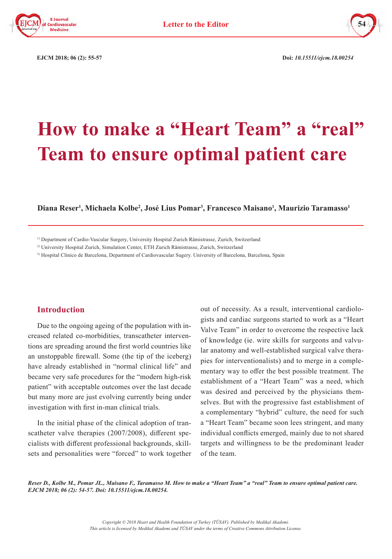



 **EJCM 2018; 06 (2): 55-57 Doi:** *10.15511/ejcm.18.00254*

# **How to make a "Heart Team" a "real" Team to ensure optimal patient care**

### **Diana Reser1 , Michaela Kolbe2 , José Lius Pomar3 , Francesco Maisano1 , Maurizio Taramasso1**

3) Hospital Clinico de Barcelona, Department of Cardiovascular Sugery. University of Barcelona, Barcelona, Spain

### **Introduction**

Due to the ongoing ageing of the population with increased related co-morbidities, transcatheter interventions are spreading around the first world countries like an unstoppable firewall. Some (the tip of the iceberg) have already established in "normal clinical life" and became very safe procedures for the "modern high-risk patient" with acceptable outcomes over the last decade but many more are just evolving currently being under investigation with first in-man clinical trials.

In the initial phase of the clinical adoption of transcatheter valve therapies (2007/2008), different specialists with different professional backgrounds, skillsets and personalities were "forced" to work together out of necessity. As a result, interventional cardiologists and cardiac surgeons started to work as a "Heart Valve Team" in order to overcome the respective lack of knowledge (ie. wire skills for surgeons and valvular anatomy and well-established surgical valve therapies for interventionalists) and to merge in a complementary way to offer the best possible treatment. The establishment of a "Heart Team" was a need, which was desired and perceived by the physicians themselves. But with the progressive fast establishment of a complementary "hybrid" culture, the need for such a "Heart Team" became soon lees stringent, and many individual conflicts emerged, mainly due to not shared targets and willingness to be the predominant leader of the team.

*Reser D., Kolbe M., Pomar JL., Maisano F., Taramasso M. How to make a "Heart Team" a "real" Team to ensure optimal patient care. EJCM 2018; 06 (2): 54-57. Doi: 10.15511/ejcm.18.00254.*

<sup>&</sup>lt;sup>1)</sup> Department of Cardio-Vascular Surgery, University Hospital Zurich Rämistrasse, Zurich, Switzerland

<sup>2)</sup> University Hospital Zurich, Simulation Center, ETH Zurich Rämistrasse, Zurich, Switzerland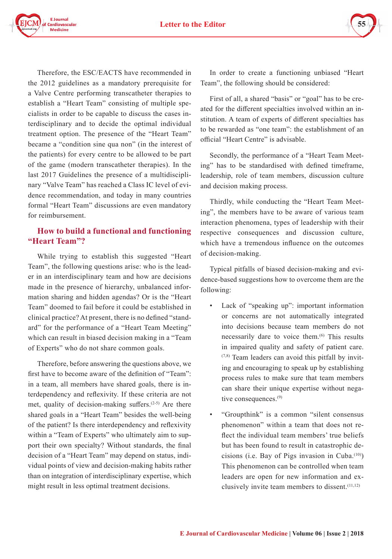**Letter to the Editor** 



Therefore, the ESC/EACTS have recommended in the 2012 guidelines as a mandatory prerequisite for a Valve Centre performing transcatheter therapies to establish a "Heart Team" consisting of multiple specialists in order to be capable to discuss the cases interdisciplinary and to decide the optimal individual treatment option. The presence of the "Heart Team" became a "condition sine qua non" (in the interest of the patients) for every centre to be allowed to be part of the game (modern transcatheter therapies). In the last 2017 Guidelines the presence of a multidisciplinary "Valve Team" has reached a Class IC level of evidence recommendation, and today in many countries formal "Heart Team" discussions are even mandatory for reimbursement.

# **How to build a functional and functioning "Heart Team"?**

While trying to establish this suggested "Heart Team", the following questions arise: who is the leader in an interdisciplinary team and how are decisions made in the presence of hierarchy, unbalanced information sharing and hidden agendas? Or is the "Heart Team" doomed to fail before it could be established in clinical practice? At present, there is no defined "standard" for the performance of a "Heart Team Meeting" which can result in biased decision making in a "Team of Experts" who do not share common goals.

Therefore, before answering the questions above, we first have to become aware of the definition of "Team": in a team, all members have shared goals, there is interdependency and reflexivity. If these criteria are not met, quality of decision-making suffers.<sup>(2-5)</sup> Are there shared goals in a "Heart Team" besides the well-being of the patient? Is there interdependency and reflexivity within a "Team of Experts" who ultimately aim to support their own specialty? Without standards, the final decision of a "Heart Team" may depend on status, individual points of view and decision-making habits rather than on integration of interdisciplinary expertise, which might result in less optimal treatment decisions.

In order to create a functioning unbiased "Heart Team", the following should be considered:

First of all, a shared "basis" or "goal" has to be created for the different specialties involved within an institution. A team of experts of different specialties has to be rewarded as "one team": the establishment of an official "Heart Centre" is advisable.

Secondly, the performance of a "Heart Team Meeting" has to be standardised with defined timeframe, leadership, role of team members, discussion culture and decision making process.

Thirdly, while conducting the "Heart Team Meeting", the members have to be aware of various team interaction phenomena, types of leadership with their respective consequences and discussion culture, which have a tremendous influence on the outcomes of decision-making.

Typical pitfalls of biased decision-making and evidence-based suggestions how to overcome them are the following:

- Lack of "speaking up": important information or concerns are not automatically integrated into decisions because team members do not necessarily dare to voice them.<sup>(6)</sup> This results in impaired quality and safety of patient care.  $(7,8)$  Team leaders can avoid this pitfall by inviting and encouraging to speak up by establishing process rules to make sure that team members can share their unique expertise without negative consequences.(9)
- "Groupthink" is a common "silent consensus phenomenon" within a team that does not reflect the individual team members' true beliefs but has been found to result in catastrophic decisions (i.e. Bay of Pigs invasion in Cuba. $(10)$ ) This phenomenon can be controlled when team leaders are open for new information and exclusively invite team members to dissent.  $(11,12)$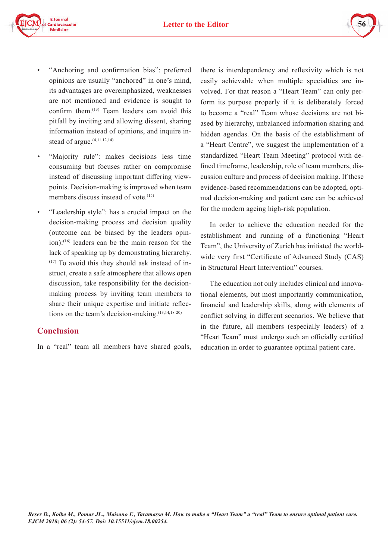

- "Anchoring and confirmation bias": preferred opinions are usually "anchored" in one's mind, its advantages are overemphasized, weaknesses are not mentioned and evidence is sought to confirm them.<sup>(13)</sup> Team leaders can avoid this pitfall by inviting and allowing dissent, sharing information instead of opinions, and inquire instead of argue.<sup>(4,11,12,14)</sup>
- "Majority rule": makes decisions less time consuming but focuses rather on compromise instead of discussing important differing viewpoints. Decision-making is improved when team members discuss instead of vote.<sup>(15)</sup>
- "Leadership style": has a crucial impact on the decision-making process and decision quality (outcome can be biased by the leaders opinion):(16) leaders can be the main reason for the lack of speaking up by demonstrating hierarchy.  $(17)$  To avoid this they should ask instead of instruct, create a safe atmosphere that allows open discussion, take responsibility for the decisionmaking process by inviting team members to share their unique expertise and initiate reflections on the team's decision-making.(13,14,18-20)

# **Conclusion**

In a "real" team all members have shared goals,

there is interdependency and reflexivity which is not easily achievable when multiple specialties are involved. For that reason a "Heart Team" can only perform its purpose properly if it is deliberately forced to become a "real" Team whose decisions are not biased by hierarchy, unbalanced information sharing and hidden agendas. On the basis of the establishment of a "Heart Centre", we suggest the implementation of a standardized "Heart Team Meeting" protocol with defined timeframe, leadership, role of team members, discussion culture and process of decision making. If these evidence-based recommendations can be adopted, optimal decision-making and patient care can be achieved for the modern ageing high-risk population.

**56**

In order to achieve the education needed for the establishment and running of a functioning "Heart Team", the University of Zurich has initiated the worldwide very first "Certificate of Advanced Study (CAS) in Structural Heart Intervention" courses.

The education not only includes clinical and innovational elements, but most importantly communication, financial and leadership skills, along with elements of conflict solving in different scenarios. We believe that in the future, all members (especially leaders) of a "Heart Team" must undergo such an officially certified education in order to guarantee optimal patient care.